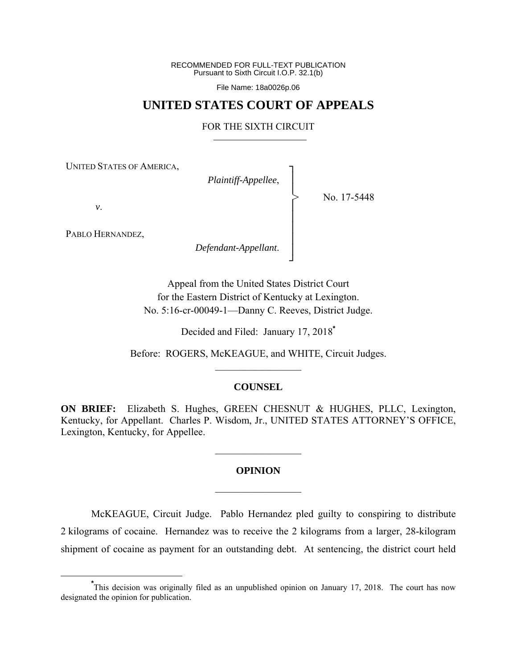RECOMMENDED FOR FULL-TEXT PUBLICATION Pursuant to Sixth Circuit I.O.P. 32.1(b)

File Name: 18a0026p.06

## **UNITED STATES COURT OF APPEALS**

#### FOR THE SIXTH CIRCUIT

┐ │ │ │ │ │ │ │ ┘

>

UNITED STATES OF AMERICA,

*Plaintiff-Appellee*,

No. 17-5448

*v*.

PABLO HERNANDEZ,

*Defendant-Appellant*.

Appeal from the United States District Court for the Eastern District of Kentucky at Lexington. No. 5:16-cr-00049-1—Danny C. Reeves, District Judge.

Decided and Filed: January 17, 2018**\***

Before: ROGERS, McKEAGUE, and WHITE, Circuit Judges.  $\frac{1}{2}$  ,  $\frac{1}{2}$  ,  $\frac{1}{2}$  ,  $\frac{1}{2}$  ,  $\frac{1}{2}$  ,  $\frac{1}{2}$  ,  $\frac{1}{2}$  ,  $\frac{1}{2}$  ,  $\frac{1}{2}$ 

## **COUNSEL**

**ON BRIEF:** Elizabeth S. Hughes, GREEN CHESNUT & HUGHES, PLLC, Lexington, Kentucky, for Appellant. Charles P. Wisdom, Jr., UNITED STATES ATTORNEY'S OFFICE, Lexington, Kentucky, for Appellee.

# **OPINION**   $\frac{1}{2}$  ,  $\frac{1}{2}$  ,  $\frac{1}{2}$  ,  $\frac{1}{2}$  ,  $\frac{1}{2}$  ,  $\frac{1}{2}$  ,  $\frac{1}{2}$  ,  $\frac{1}{2}$  ,  $\frac{1}{2}$

 $\frac{1}{2}$  ,  $\frac{1}{2}$  ,  $\frac{1}{2}$  ,  $\frac{1}{2}$  ,  $\frac{1}{2}$  ,  $\frac{1}{2}$  ,  $\frac{1}{2}$  ,  $\frac{1}{2}$  ,  $\frac{1}{2}$ 

 McKEAGUE, Circuit Judge. Pablo Hernandez pled guilty to conspiring to distribute 2 kilograms of cocaine. Hernandez was to receive the 2 kilograms from a larger, 28-kilogram shipment of cocaine as payment for an outstanding debt. At sentencing, the district court held

**\*** This decision was originally filed as an unpublished opinion on January 17, 2018. The court has now designated the opinion for publication.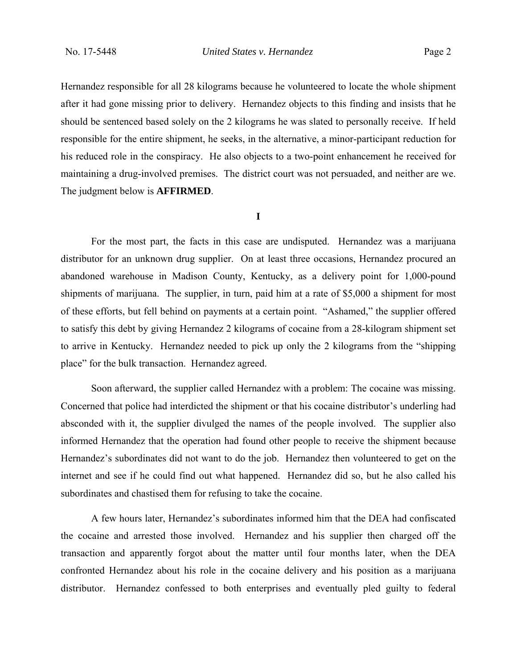Hernandez responsible for all 28 kilograms because he volunteered to locate the whole shipment after it had gone missing prior to delivery. Hernandez objects to this finding and insists that he should be sentenced based solely on the 2 kilograms he was slated to personally receive. If held responsible for the entire shipment, he seeks, in the alternative, a minor-participant reduction for his reduced role in the conspiracy. He also objects to a two-point enhancement he received for maintaining a drug-involved premises. The district court was not persuaded, and neither are we. The judgment below is **AFFIRMED**.

#### **I**

For the most part, the facts in this case are undisputed. Hernandez was a marijuana distributor for an unknown drug supplier. On at least three occasions, Hernandez procured an abandoned warehouse in Madison County, Kentucky, as a delivery point for 1,000-pound shipments of marijuana. The supplier, in turn, paid him at a rate of \$5,000 a shipment for most of these efforts, but fell behind on payments at a certain point. "Ashamed," the supplier offered to satisfy this debt by giving Hernandez 2 kilograms of cocaine from a 28-kilogram shipment set to arrive in Kentucky. Hernandez needed to pick up only the 2 kilograms from the "shipping place" for the bulk transaction. Hernandez agreed.

 Soon afterward, the supplier called Hernandez with a problem: The cocaine was missing. Concerned that police had interdicted the shipment or that his cocaine distributor's underling had absconded with it, the supplier divulged the names of the people involved. The supplier also informed Hernandez that the operation had found other people to receive the shipment because Hernandez's subordinates did not want to do the job. Hernandez then volunteered to get on the internet and see if he could find out what happened. Hernandez did so, but he also called his subordinates and chastised them for refusing to take the cocaine.

 A few hours later, Hernandez's subordinates informed him that the DEA had confiscated the cocaine and arrested those involved. Hernandez and his supplier then charged off the transaction and apparently forgot about the matter until four months later, when the DEA confronted Hernandez about his role in the cocaine delivery and his position as a marijuana distributor. Hernandez confessed to both enterprises and eventually pled guilty to federal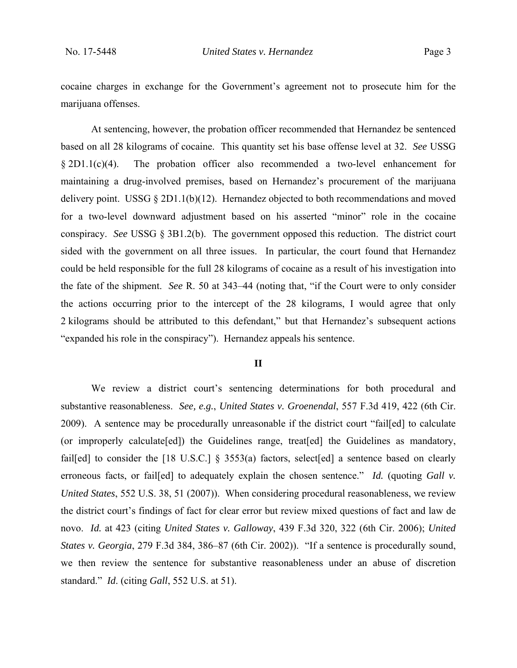cocaine charges in exchange for the Government's agreement not to prosecute him for the marijuana offenses.

 At sentencing, however, the probation officer recommended that Hernandez be sentenced based on all 28 kilograms of cocaine. This quantity set his base offense level at 32. *See* USSG § 2D1.1(c)(4). The probation officer also recommended a two-level enhancement for maintaining a drug-involved premises, based on Hernandez's procurement of the marijuana delivery point. USSG § 2D1.1(b)(12). Hernandez objected to both recommendations and moved for a two-level downward adjustment based on his asserted "minor" role in the cocaine conspiracy. *See* USSG § 3B1.2(b). The government opposed this reduction. The district court sided with the government on all three issues. In particular, the court found that Hernandez could be held responsible for the full 28 kilograms of cocaine as a result of his investigation into the fate of the shipment. *See* R. 50 at 343–44 (noting that, "if the Court were to only consider the actions occurring prior to the intercept of the 28 kilograms, I would agree that only 2 kilograms should be attributed to this defendant," but that Hernandez's subsequent actions "expanded his role in the conspiracy"). Hernandez appeals his sentence.

## **II**

We review a district court's sentencing determinations for both procedural and substantive reasonableness. *See, e.g.*, *United States v. Groenendal*, 557 F.3d 419, 422 (6th Cir. 2009). A sentence may be procedurally unreasonable if the district court "fail[ed] to calculate (or improperly calculate[ed]) the Guidelines range, treat[ed] the Guidelines as mandatory, fail[ed] to consider the [18 U.S.C.]  $\frac{8}{3553(a)}$  factors, select[ed] a sentence based on clearly erroneous facts, or fail[ed] to adequately explain the chosen sentence." *Id.* (quoting *Gall v. United States*, 552 U.S. 38, 51 (2007)). When considering procedural reasonableness, we review the district court's findings of fact for clear error but review mixed questions of fact and law de novo. *Id.* at 423 (citing *United States v. Galloway*, 439 F.3d 320, 322 (6th Cir. 2006); *United States v. Georgia*, 279 F.3d 384, 386–87 (6th Cir. 2002)). "If a sentence is procedurally sound, we then review the sentence for substantive reasonableness under an abuse of discretion standard." *Id*. (citing *Gall*, 552 U.S. at 51).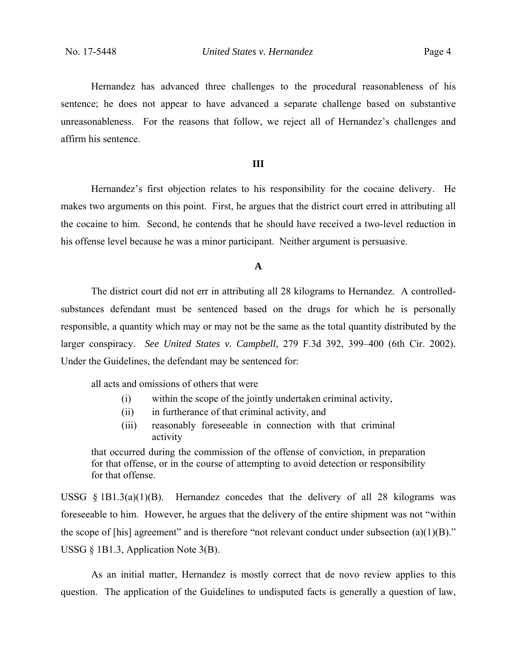Hernandez has advanced three challenges to the procedural reasonableness of his sentence; he does not appear to have advanced a separate challenge based on substantive unreasonableness. For the reasons that follow, we reject all of Hernandez's challenges and affirm his sentence.

## **III**

 Hernandez's first objection relates to his responsibility for the cocaine delivery. He makes two arguments on this point. First, he argues that the district court erred in attributing all the cocaine to him. Second, he contends that he should have received a two-level reduction in his offense level because he was a minor participant. Neither argument is persuasive.

## **A**

 The district court did not err in attributing all 28 kilograms to Hernandez. A controlledsubstances defendant must be sentenced based on the drugs for which he is personally responsible, a quantity which may or may not be the same as the total quantity distributed by the larger conspiracy. *See United States v. Campbell*, 279 F.3d 392, 399–400 (6th Cir. 2002). Under the Guidelines, the defendant may be sentenced for:

all acts and omissions of others that were

- (i) within the scope of the jointly undertaken criminal activity,
- (ii) in furtherance of that criminal activity, and
- (iii) reasonably foreseeable in connection with that criminal activity

that occurred during the commission of the offense of conviction, in preparation for that offense, or in the course of attempting to avoid detection or responsibility for that offense.

USSG  $\S$  1B1.3(a)(1)(B). Hernandez concedes that the delivery of all 28 kilograms was foreseeable to him. However, he argues that the delivery of the entire shipment was not "within the scope of [his] agreement" and is therefore "not relevant conduct under subsection  $(a)(1)(B)$ ." USSG § 1B1.3, Application Note 3(B).

 As an initial matter, Hernandez is mostly correct that de novo review applies to this question. The application of the Guidelines to undisputed facts is generally a question of law,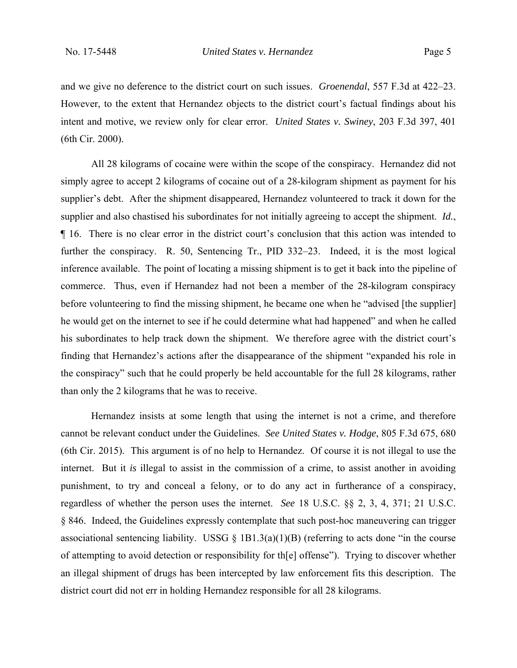and we give no deference to the district court on such issues. *Groenendal*, 557 F.3d at 422–23. However, to the extent that Hernandez objects to the district court's factual findings about his intent and motive, we review only for clear error. *United States v. Swiney*, 203 F.3d 397, 401 (6th Cir. 2000).

 All 28 kilograms of cocaine were within the scope of the conspiracy. Hernandez did not simply agree to accept 2 kilograms of cocaine out of a 28-kilogram shipment as payment for his supplier's debt. After the shipment disappeared, Hernandez volunteered to track it down for the supplier and also chastised his subordinates for not initially agreeing to accept the shipment. *Id.*, ¶ 16. There is no clear error in the district court's conclusion that this action was intended to further the conspiracy. R. 50, Sentencing Tr., PID 332–23. Indeed, it is the most logical inference available. The point of locating a missing shipment is to get it back into the pipeline of commerce. Thus, even if Hernandez had not been a member of the 28-kilogram conspiracy before volunteering to find the missing shipment, he became one when he "advised [the supplier] he would get on the internet to see if he could determine what had happened" and when he called his subordinates to help track down the shipment. We therefore agree with the district court's finding that Hernandez's actions after the disappearance of the shipment "expanded his role in the conspiracy" such that he could properly be held accountable for the full 28 kilograms, rather than only the 2 kilograms that he was to receive.

Hernandez insists at some length that using the internet is not a crime, and therefore cannot be relevant conduct under the Guidelines. *See United States v. Hodge*, 805 F.3d 675, 680 (6th Cir. 2015). This argument is of no help to Hernandez. Of course it is not illegal to use the internet. But it *is* illegal to assist in the commission of a crime, to assist another in avoiding punishment, to try and conceal a felony, or to do any act in furtherance of a conspiracy, regardless of whether the person uses the internet. *See* 18 U.S.C. §§ 2, 3, 4, 371; 21 U.S.C. § 846. Indeed, the Guidelines expressly contemplate that such post-hoc maneuvering can trigger associational sentencing liability. USSG  $\S$  1B1.3(a)(1)(B) (referring to acts done "in the course of attempting to avoid detection or responsibility for th[e] offense"). Trying to discover whether an illegal shipment of drugs has been intercepted by law enforcement fits this description. The district court did not err in holding Hernandez responsible for all 28 kilograms.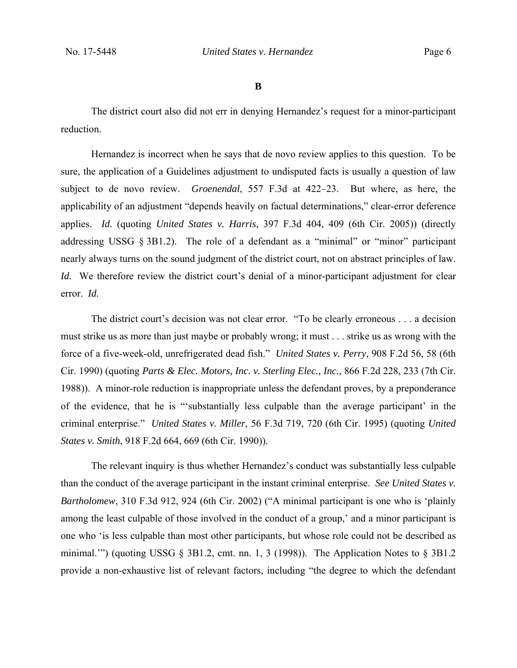**B**

 The district court also did not err in denying Hernandez's request for a minor-participant reduction.

 Hernandez is incorrect when he says that de novo review applies to this question. To be sure, the application of a Guidelines adjustment to undisputed facts is usually a question of law subject to de novo review. *Groenendal*, 557 F.3d at 422–23. But where, as here, the applicability of an adjustment "depends heavily on factual determinations," clear-error deference applies. *Id.* (quoting *United States v. Harris*, 397 F.3d 404, 409 (6th Cir. 2005)) (directly addressing USSG § 3B1.2). The role of a defendant as a "minimal" or "minor" participant nearly always turns on the sound judgment of the district court, not on abstract principles of law. *Id.* We therefore review the district court's denial of a minor-participant adjustment for clear error. *Id.*

 The district court's decision was not clear error. "To be clearly erroneous . . . a decision must strike us as more than just maybe or probably wrong; it must . . . strike us as wrong with the force of a five-week-old, unrefrigerated dead fish." *United States v. Perry*, 908 F.2d 56, 58 (6th Cir. 1990) (quoting *Parts & Elec. Motors, Inc. v. Sterling Elec., Inc.*, 866 F.2d 228, 233 (7th Cir. 1988)). A minor-role reduction is inappropriate unless the defendant proves, by a preponderance of the evidence, that he is "'substantially less culpable than the average participant' in the criminal enterprise." *United States v. Miller*, 56 F.3d 719, 720 (6th Cir. 1995) (quoting *United States v. Smith*, 918 F.2d 664, 669 (6th Cir. 1990)).

The relevant inquiry is thus whether Hernandez's conduct was substantially less culpable than the conduct of the average participant in the instant criminal enterprise. *See United States v. Bartholomew*, 310 F.3d 912, 924 (6th Cir. 2002) ("A minimal participant is one who is 'plainly among the least culpable of those involved in the conduct of a group,' and a minor participant is one who 'is less culpable than most other participants, but whose role could not be described as minimal."") (quoting USSG  $\S$  3B1.2, cmt. nn. 1, 3 (1998)). The Application Notes to  $\S$  3B1.2 provide a non-exhaustive list of relevant factors, including "the degree to which the defendant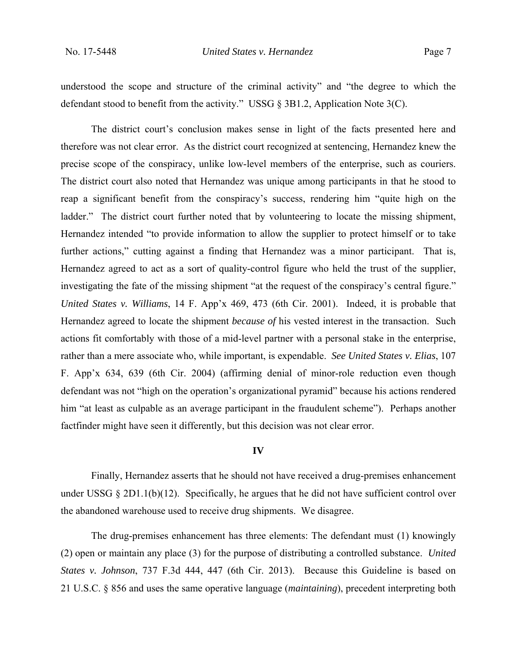understood the scope and structure of the criminal activity" and "the degree to which the defendant stood to benefit from the activity." USSG § 3B1.2, Application Note 3(C).

 The district court's conclusion makes sense in light of the facts presented here and therefore was not clear error. As the district court recognized at sentencing, Hernandez knew the precise scope of the conspiracy, unlike low-level members of the enterprise, such as couriers. The district court also noted that Hernandez was unique among participants in that he stood to reap a significant benefit from the conspiracy's success, rendering him "quite high on the ladder." The district court further noted that by volunteering to locate the missing shipment, Hernandez intended "to provide information to allow the supplier to protect himself or to take further actions," cutting against a finding that Hernandez was a minor participant. That is, Hernandez agreed to act as a sort of quality-control figure who held the trust of the supplier, investigating the fate of the missing shipment "at the request of the conspiracy's central figure." *United States v. Williams*, 14 F. App'x 469, 473 (6th Cir. 2001). Indeed, it is probable that Hernandez agreed to locate the shipment *because of* his vested interest in the transaction. Such actions fit comfortably with those of a mid-level partner with a personal stake in the enterprise, rather than a mere associate who, while important, is expendable. *See United States v. Elias*, 107 F. App'x 634, 639 (6th Cir. 2004) (affirming denial of minor-role reduction even though defendant was not "high on the operation's organizational pyramid" because his actions rendered him "at least as culpable as an average participant in the fraudulent scheme"). Perhaps another factfinder might have seen it differently, but this decision was not clear error.

## **IV**

 Finally, Hernandez asserts that he should not have received a drug-premises enhancement under USSG  $\S 2D1.1(b)(12)$ . Specifically, he argues that he did not have sufficient control over the abandoned warehouse used to receive drug shipments. We disagree.

 The drug-premises enhancement has three elements: The defendant must (1) knowingly (2) open or maintain any place (3) for the purpose of distributing a controlled substance. *United States v. Johnson*, 737 F.3d 444, 447 (6th Cir. 2013). Because this Guideline is based on 21 U.S.C. § 856 and uses the same operative language (*maintaining*), precedent interpreting both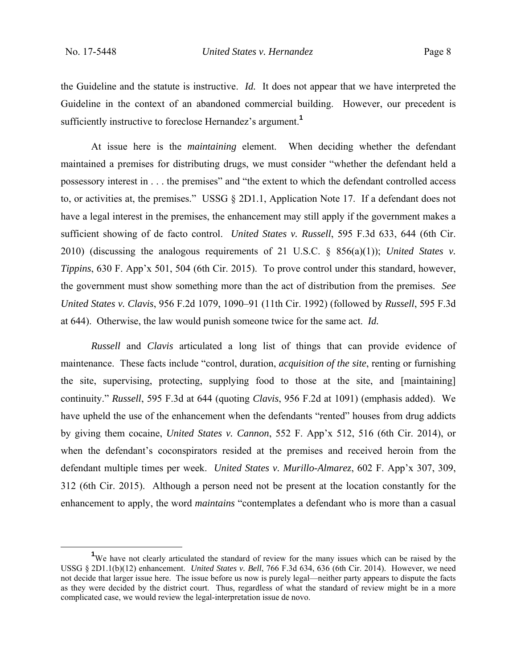the Guideline and the statute is instructive. *Id.* It does not appear that we have interpreted the Guideline in the context of an abandoned commercial building. However, our precedent is sufficiently instructive to foreclose Hernandez's argument.**<sup>1</sup>**

At issue here is the *maintaining* element. When deciding whether the defendant maintained a premises for distributing drugs, we must consider "whether the defendant held a possessory interest in . . . the premises" and "the extent to which the defendant controlled access to, or activities at, the premises." USSG § 2D1.1, Application Note 17. If a defendant does not have a legal interest in the premises, the enhancement may still apply if the government makes a sufficient showing of de facto control. *United States v. Russell*, 595 F.3d 633, 644 (6th Cir. 2010) (discussing the analogous requirements of 21 U.S.C. § 856(a)(1)); *United States v. Tippins*, 630 F. App'x 501, 504 (6th Cir. 2015). To prove control under this standard, however, the government must show something more than the act of distribution from the premises. *See United States v. Clavis*, 956 F.2d 1079, 1090–91 (11th Cir. 1992) (followed by *Russell*, 595 F.3d at 644). Otherwise, the law would punish someone twice for the same act. *Id.*

*Russell* and *Clavis* articulated a long list of things that can provide evidence of maintenance. These facts include "control, duration, *acquisition of the site*, renting or furnishing the site, supervising, protecting, supplying food to those at the site, and [maintaining] continuity." *Russell*, 595 F.3d at 644 (quoting *Clavis*, 956 F.2d at 1091) (emphasis added). We have upheld the use of the enhancement when the defendants "rented" houses from drug addicts by giving them cocaine, *United States v. Cannon*, 552 F. App'x 512, 516 (6th Cir. 2014), or when the defendant's coconspirators resided at the premises and received heroin from the defendant multiple times per week. *United States v. Murillo-Almarez*, 602 F. App'x 307, 309, 312 (6th Cir. 2015). Although a person need not be present at the location constantly for the enhancement to apply, the word *maintains* "contemplates a defendant who is more than a casual

<sup>&</sup>lt;u>1</u> <sup>1</sup>We have not clearly articulated the standard of review for the many issues which can be raised by the USSG § 2D1.1(b)(12) enhancement. *United States v. Bell*, 766 F.3d 634, 636 (6th Cir. 2014). However, we need not decide that larger issue here. The issue before us now is purely legal—neither party appears to dispute the facts as they were decided by the district court. Thus, regardless of what the standard of review might be in a more complicated case, we would review the legal-interpretation issue de novo.